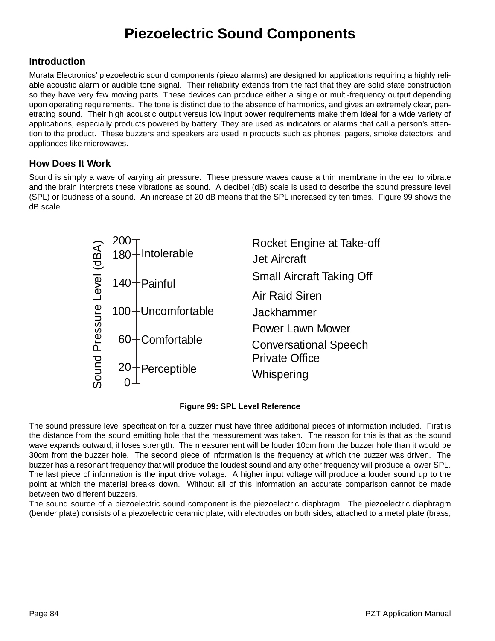# **Piezoelectric Sound Components**

### **Introduction**

Murata Electronics' piezoelectric sound components (piezo alarms) are designed for applications requiring a highly reliable acoustic alarm or audible tone signal. Their reliability extends from the fact that they are solid state construction so they have very few moving parts. These devices can produce either a single or multi-frequency output depending upon operating requirements. The tone is distinct due to the absence of harmonics, and gives an extremely clear, penetrating sound. Their high acoustic output versus low input power requirements make them ideal for a wide variety of applications, especially products powered by battery. They are used as indicators or alarms that call a person's attention to the product. These buzzers and speakers are used in products such as phones, pagers, smoke detectors, and appliances like microwaves.

### **How Does It Work**

Sound is simply a wave of varying air pressure. These pressure waves cause a thin membrane in the ear to vibrate and the brain interprets these vibrations as sound. A decibel (dB) scale is used to describe the sound pressure level (SPL) or loudness of a sound. An increase of 20 dB means that the SPL increased by ten times. Figure [99](#page-0-0) shows the dB scale.



#### **Figure 99: SPL Level Reference**

<span id="page-0-0"></span>The sound pressure level specification for a buzzer must have three additional pieces of information included. First is the distance from the sound emitting hole that the measurement was taken. The reason for this is that as the sound wave expands outward, it loses strength. The measurement will be louder 10cm from the buzzer hole than it would be 30cm from the buzzer hole. The second piece of information is the frequency at which the buzzer was driven. The buzzer has a resonant frequency that will produce the loudest sound and any other frequency will produce a lower SPL. The last piece of information is the input drive voltage. A higher input voltage will produce a louder sound up to the point at which the material breaks down. Without all of this information an accurate comparison cannot be made between two different buzzers.

The sound source of a piezoelectric sound component is the piezoelectric diaphragm. The piezoelectric diaphragm (bender plate) consists of a piezoelectric ceramic plate, with electrodes on both sides, attached to a metal plate (brass,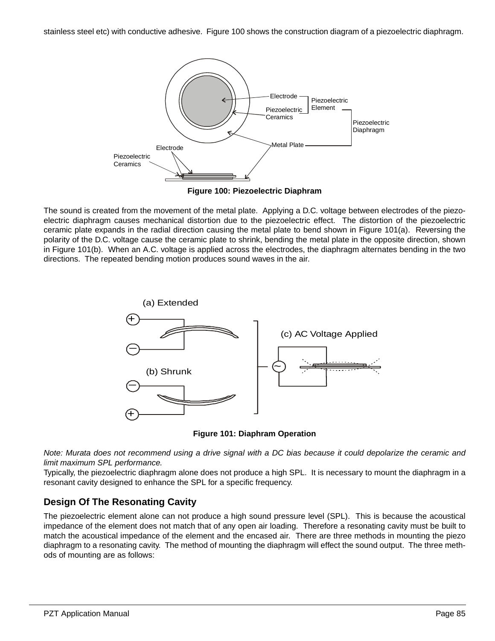stainless steel etc) with conductive adhesive. Figure [100](#page-1-0) shows the construction diagram of a piezoelectric diaphragm.



**Figure 100: Piezoelectric Diaphram**

<span id="page-1-0"></span>The sound is created from the movement of the metal plate. Applying a D.C. voltage between electrodes of the piezoelectric diaphragm causes mechanical distortion due to the piezoelectric effect. The distortion of the piezoelectric ceramic plate expands in the radial direction causing the metal plate to bend shown in Figure [101\(](#page-1-1)a). Reversing the polarity of the D.C. voltage cause the ceramic plate to shrink, bending the metal plate in the opposite direction, shown in Figure [101\(](#page-1-1)b). When an A.C. voltage is applied across the electrodes, the diaphragm alternates bending in the two directions. The repeated bending motion produces sound waves in the air.



**Figure 101: Diaphram Operation**

<span id="page-1-1"></span>Note: Murata does not recommend using a drive signal with a DC bias because it could depolarize the ceramic and limit maximum SPL performance.

Typically, the piezoelectric diaphragm alone does not produce a high SPL. It is necessary to mount the diaphragm in a resonant cavity designed to enhance the SPL for a specific frequency.

# **Design Of The Resonating Cavity**

The piezoelectric element alone can not produce a high sound pressure level (SPL). This is because the acoustical impedance of the element does not match that of any open air loading. Therefore a resonating cavity must be built to match the acoustical impedance of the element and the encased air. There are three methods in mounting the piezo diaphragm to a resonating cavity. The method of mounting the diaphragm will effect the sound output. The three methods of mounting are as follows: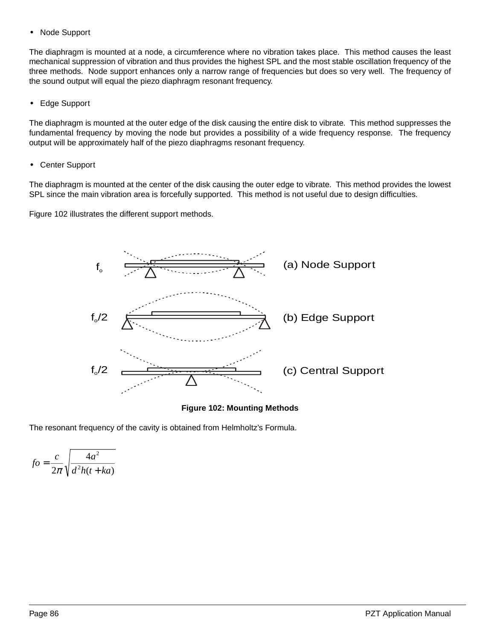**•** Node Support

The diaphragm is mounted at a node, a circumference where no vibration takes place. This method causes the least mechanical suppression of vibration and thus provides the highest SPL and the most stable oscillation frequency of the three methods. Node support enhances only a narrow range of frequencies but does so very well. The frequency of the sound output will equal the piezo diaphragm resonant frequency.

**•** Edge Support

The diaphragm is mounted at the outer edge of the disk causing the entire disk to vibrate. This method suppresses the fundamental frequency by moving the node but provides a possibility of a wide frequency response. The frequency output will be approximately half of the piezo diaphragms resonant frequency.

**•** Center Support

The diaphragm is mounted at the center of the disk causing the outer edge to vibrate. This method provides the lowest SPL since the main vibration area is forcefully supported. This method is not useful due to design difficulties.

Figure [102](#page-2-0) illustrates the different support methods.



**Figure 102: Mounting Methods**

<span id="page-2-0"></span>The resonant frequency of the cavity is obtained from Helmholtz's Formula.

$$
fo = \frac{c}{2\pi} \sqrt{\frac{4a^2}{d^2h(t+ka)}}
$$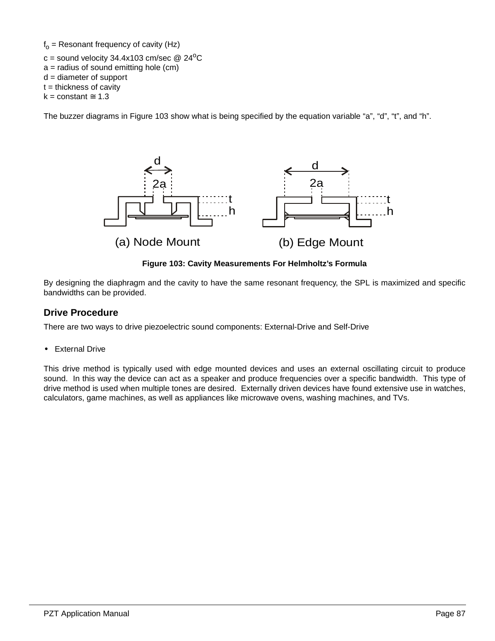$f_0$  = Resonant frequency of cavity (Hz)

c = sound velocity  $34.4x103$  cm/sec @  $24^{\circ}$ C  $a =$  radius of sound emitting hole (cm) d = diameter of support  $t =$  thickness of cavity  $k = constant \approx 1.3$ 

The buzzer diagrams in Figure [103](#page-3-0) show what is being specified by the equation variable "a", "d", "t", and "h".



**Figure 103: Cavity Measurements For Helmholtz's Formula**

<span id="page-3-0"></span>By designing the diaphragm and the cavity to have the same resonant frequency, the SPL is maximized and specific bandwidths can be provided.

# **Drive Procedure**

There are two ways to drive piezoelectric sound components: External-Drive and Self-Drive

**•** External Drive

This drive method is typically used with edge mounted devices and uses an external oscillating circuit to produce sound. In this way the device can act as a speaker and produce frequencies over a specific bandwidth. This type of drive method is used when multiple tones are desired. Externally driven devices have found extensive use in watches, calculators, game machines, as well as appliances like microwave ovens, washing machines, and TVs.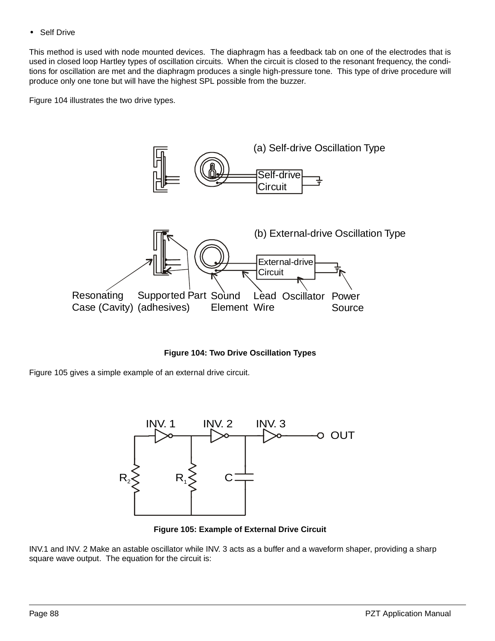**•** Self Drive

This method is used with node mounted devices. The diaphragm has a feedback tab on one of the electrodes that is used in closed loop Hartley types of oscillation circuits. When the circuit is closed to the resonant frequency, the conditions for oscillation are met and the diaphragm produces a single high-pressure tone. This type of drive procedure will produce only one tone but will have the highest SPL possible from the buzzer.

Figure [104](#page-4-0) illustrates the two drive types.



**Figure 104: Two Drive Oscillation Types**

<span id="page-4-0"></span>Figure [105](#page-4-1) gives a simple example of an external drive circuit.



**Figure 105: Example of External Drive Circuit**

<span id="page-4-1"></span>INV.1 and INV. 2 Make an astable oscillator while INV. 3 acts as a buffer and a waveform shaper, providing a sharp square wave output. The equation for the circuit is: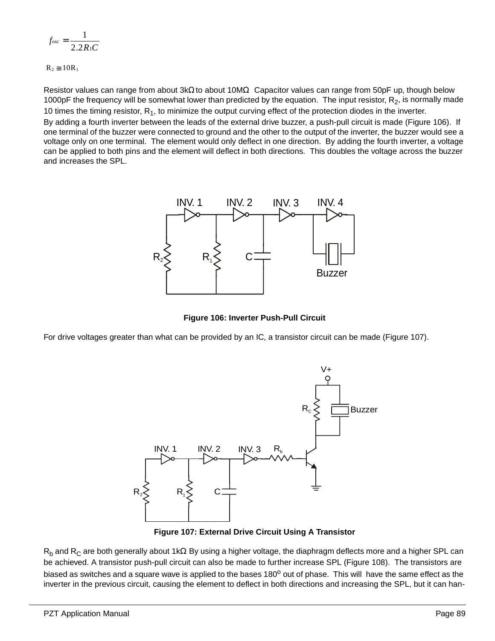$$
f_{osc} = \frac{1}{2.2R_1C}
$$

 $R_2 \approx 10R_1$ 

Resistor values can range from about 3kΩ to about 10MΩ. Capacitor values can range from 50pF up, though below 1000pF the frequency will be somewhat lower than predicted by the equation. The input resistor,  $R_2$ , is normally made 10 times the timing resistor,  $R_1$ , to minimize the output curving effect of the protection diodes in the inverter.

By adding a fourth inverter between the leads of the external drive buzzer, a push-pull circuit is made (Figure [106](#page-5-0)). If one terminal of the buzzer were connected to ground and the other to the output of the inverter, the buzzer would see a voltage only on one terminal. The element would only deflect in one direction. By adding the fourth inverter, a voltage can be applied to both pins and the element will deflect in both directions. This doubles the voltage across the buzzer and increases the SPL.



**Figure 106: Inverter Push-Pull Circuit**

<span id="page-5-0"></span>For drive voltages greater than what can be provided by an IC, a transistor circuit can be made (Figure [107\)](#page-5-1).



**Figure 107: External Drive Circuit Using A Transistor**

<span id="page-5-1"></span>R<sub>b</sub> and R<sub>C</sub> are both generally about 1kΩ By using a higher voltage, the diaphragm deflects more and a higher SPL can be achieved. A transistor push-pull circuit can also be made to further increase SPL (Figure [108\)](#page-6-0). The transistors are biased as switches and a square wave is applied to the bases 180<sup>o</sup> out of phase. This will have the same effect as the inverter in the previous circuit, causing the element to deflect in both directions and increasing the SPL, but it can han-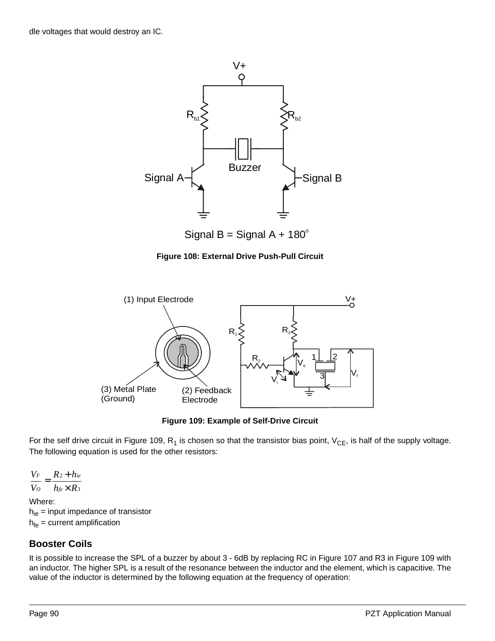

Signal B = Signal A +  $180^\circ$ 

**Figure 108: External Drive Push-Pull Circuit**

<span id="page-6-0"></span>

**Figure 109: Example of Self-Drive Circuit**

<span id="page-6-1"></span>For the self drive circuit in Figure [109,](#page-6-1)  $R_1$  is chosen so that the transistor bias point,  $V_{CE}$ , is half of the supply voltage. The following equation is used for the other resistors:

3 2  $h_{\text{fe}} \times R$ *R h V V fe ie O F* ×  $=\frac{R_2+}{R_1}$ 

Where:  $h_{ie}$  = input impedance of transistor  $h_{fe}$  = current amplification

# **Booster Coils**

It is possible to increase the SPL of a buzzer by about 3 - 6dB by replacing RC in Figure [107](#page-5-1) and R3 in Figure [109](#page-6-1) with an inductor. The higher SPL is a result of the resonance between the inductor and the element, which is capacitive. The value of the inductor is determined by the following equation at the frequency of operation: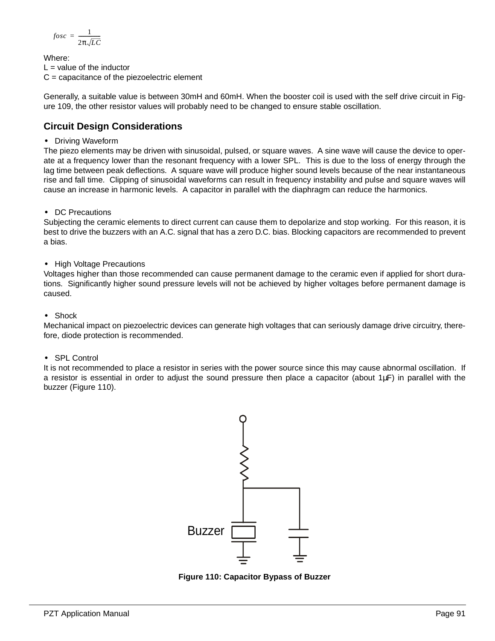$$
fosc = \frac{1}{2\pi\sqrt{LC}}
$$

Where:  $L =$  value of the inductor  $C =$  capacitance of the piezoelectric element

Generally, a suitable value is between 30mH and 60mH. When the booster coil is used with the self drive circuit in Figure [109,](#page-6-1) the other resistor values will probably need to be changed to ensure stable oscillation.

# **Circuit Design Considerations**

**•** Driving Waveform

The piezo elements may be driven with sinusoidal, pulsed, or square waves. A sine wave will cause the device to operate at a frequency lower than the resonant frequency with a lower SPL. This is due to the loss of energy through the lag time between peak deflections. A square wave will produce higher sound levels because of the near instantaneous rise and fall time. Clipping of sinusoidal waveforms can result in frequency instability and pulse and square waves will cause an increase in harmonic levels. A capacitor in parallel with the diaphragm can reduce the harmonics.

**•** DC Precautions

Subjecting the ceramic elements to direct current can cause them to depolarize and stop working. For this reason, it is best to drive the buzzers with an A.C. signal that has a zero D.C. bias. Blocking capacitors are recommended to prevent a bias.

**•** High Voltage Precautions

Voltages higher than those recommended can cause permanent damage to the ceramic even if applied for short durations. Significantly higher sound pressure levels will not be achieved by higher voltages before permanent damage is caused.

**•** Shock

Mechanical impact on piezoelectric devices can generate high voltages that can seriously damage drive circuitry, therefore, diode protection is recommended.

**•** SPL Control

It is not recommended to place a resistor in series with the power source since this may cause abnormal oscillation. If a resistor is essential in order to adjust the sound pressure then place a capacitor (about  $1\mu$ F) in parallel with the buzzer (Figure [110\)](#page-7-0).



<span id="page-7-0"></span>**Figure 110: Capacitor Bypass of Buzzer**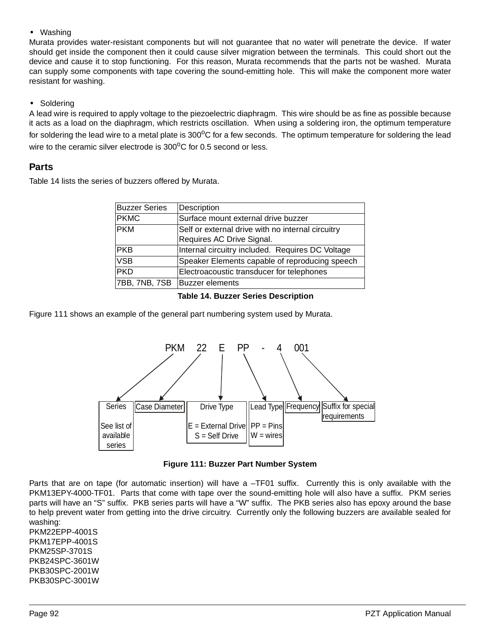**•** Washing

Murata provides water-resistant components but will not guarantee that no water will penetrate the device. If water should get inside the component then it could cause silver migration between the terminals. This could short out the device and cause it to stop functioning. For this reason, Murata recommends that the parts not be washed. Murata can supply some components with tape covering the sound-emitting hole. This will make the component more water resistant for washing.

### **•** Soldering

A lead wire is required to apply voltage to the piezoelectric diaphragm. This wire should be as fine as possible because it acts as a load on the diaphragm, which restricts oscillation. When using a soldering iron, the optimum temperature for soldering the lead wire to a metal plate is  $300^{\circ}$ C for a few seconds. The optimum temperature for soldering the lead wire to the ceramic silver electrode is  $300^{\circ}$ C for 0.5 second or less.

### **Parts**

Table [14](#page-8-1) lists the series of buzzers offered by Murata.

| <b>Buzzer Series</b> | Description                                       |  |  |  |  |  |
|----------------------|---------------------------------------------------|--|--|--|--|--|
| <b>PKMC</b>          | Surface mount external drive buzzer               |  |  |  |  |  |
| <b>PKM</b>           | Self or external drive with no internal circuitry |  |  |  |  |  |
|                      | Requires AC Drive Signal.                         |  |  |  |  |  |
| <b>PKB</b>           | Internal circuitry included. Requires DC Voltage  |  |  |  |  |  |
| <b>VSB</b>           | Speaker Elements capable of reproducing speech    |  |  |  |  |  |
| <b>PKD</b>           | Electroacoustic transducer for telephones         |  |  |  |  |  |
| 7BB, 7NB, 7SB        | <b>Buzzer</b> elements                            |  |  |  |  |  |

#### **Table 14. Buzzer Series Description**

<span id="page-8-1"></span>Figure [111](#page-8-0) shows an example of the general part numbering system used by Murata.



**Figure 111: Buzzer Part Number System**

<span id="page-8-0"></span>Parts that are on tape (for automatic insertion) will have a –TF01 suffix. Currently this is only available with the PKM13EPY-4000-TF01. Parts that come with tape over the sound-emitting hole will also have a suffix. PKM series parts will have an "S" suffix. PKB series parts will have a "W" suffix. The PKB series also has epoxy around the base to help prevent water from getting into the drive circuitry. Currently only the following buzzers are available sealed for washing:

PKM22EPP-4001S PKM17EPP-4001S PKM25SP-3701S PKB24SPC-3601W PKB30SPC-2001W PKB30SPC-3001W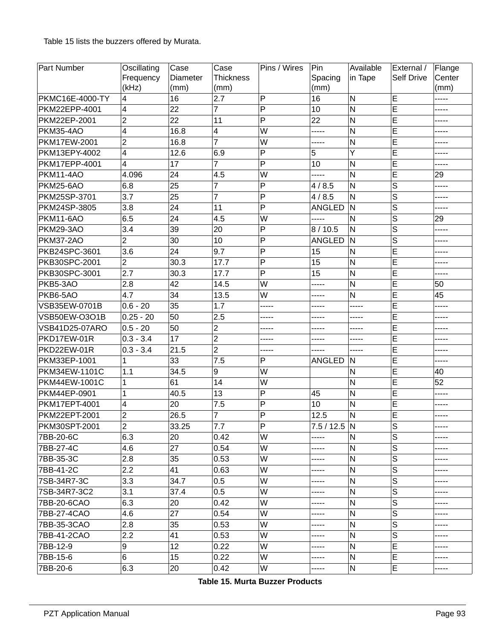Table [15](#page-9-0) lists the buzzers offered by Murata.

| Part Number          | Oscillating      | Case            | Case             | Pins / Wires            | Pin             | Available               | External /              | Flange |
|----------------------|------------------|-----------------|------------------|-------------------------|-----------------|-------------------------|-------------------------|--------|
|                      | Frequency        | Diameter        | <b>Thickness</b> |                         | Spacing         | in Tape                 | <b>Self Drive</b>       | Center |
|                      | (kHz)            | (mm)            | (mm)             |                         | (mm)            |                         |                         | (mm)   |
| PKMC16E-4000-TY      | 4                | 16              | 2.7              | $\mathsf{P}$            | 16              | N                       | E                       | -----  |
| PKM22EPP-4001        | 4                | 22              | 7                | P                       | 10              | N                       | E                       | .      |
| PKM22EP-2001         | $\overline{2}$   | $\overline{22}$ | 11               | P                       | 22              | N                       | Ē                       | -----  |
| <b>PKM35-4AO</b>     | 4                | 16.8            | $\overline{4}$   | W                       | -----           | $\overline{\mathsf{N}}$ | $\overline{E}$          | -----  |
| PKM17EW-2001         | $\overline{c}$   | 16.8            | $\overline{7}$   | W                       | -----           | N                       | Ē                       |        |
| PKM13EPY-4002        | 4                | 12.6            | 6.9              | P                       | 5               | Y                       | E                       | .      |
| PKM17EPP-4001        | 4                | 17              | $\overline{7}$   | P                       | 10              | N                       | Ē                       | .      |
| <b>PKM11-4AO</b>     | 4.096            | 24              | 4.5              | W                       | -----           | N                       | Ē                       | 29     |
| PKM25-6AO            | 6.8              | 25              | 7                | P                       | 4/8.5           | N                       | $\overline{s}$          | -----  |
| PKM25SP-3701         | 3.7              | 25              | $\overline{7}$   | P                       | 4/8.5           | N                       | $\overline{S}$          | -----  |
| PKM24SP-3805         | 3.8              | $\overline{24}$ | 11               | P                       | ANGLED          | N                       | $\overline{S}$          | -----  |
| <b>PKM11-6AO</b>     | 6.5              | 24              | 4.5              | W                       | -----           | N                       | $\overline{S}$          | 29     |
| <b>PKM29-3AO</b>     | 3.4              | 39              | 20               | P                       | 8/10.5          | N                       | $\overline{s}$          | -----  |
| <b>PKM37-2AO</b>     | $\overline{2}$   | 30              | 10               | P                       | ANGLED          | N                       | $\overline{S}$          | -----  |
| PKB24SPC-3601        | 3.6              | $\overline{24}$ | 9.7              | P                       | 15              | N                       | E                       | -----  |
| PKB30SPC-2001        | $\overline{c}$   | 30.3            | 17.7             | $\overline{P}$          | 15              | N                       | $\overline{E}$          | .      |
| PKB30SPC-3001        | 2.7              | 30.3            | 17.7             | P                       | $\overline{15}$ | N                       | Ē                       | -----  |
| PKB5-3AO             | 2.8              | 42              | 14.5             | W                       | -----           | N                       | E                       | 50     |
| PKB6-5AO             | 4.7              | $\overline{34}$ | 13.5             | W                       | -----           | N                       | Ē                       | 45     |
| VSB35EW-0701B        | $0.6 - 20$       | 35              | 1.7              | -----                   | -----           | -----                   | $\overline{E}$          |        |
| VSB50EW-O3O1B        | $0.25 - 20$      | 50              | 2.5              | -----                   | -----           | -----                   | E                       | -----  |
| VSB41D25-07ARO       | $0.5 - 20$       | 50              | $\overline{2}$   | -----                   | -----           | -----                   | E                       | -----  |
| PKD17EW-01R          | $0.3 - 3.4$      | 17              | $\overline{2}$   | -----                   | -----           | -----                   | E                       | .      |
| PKD22EW-01R          | $0.3 - 3.4$      | 21.5            | 2                |                         | -----           | -----                   | E                       |        |
| PKM33EP-1001         |                  | 33              | 7.5              | P                       | ANGLED          | N                       | E                       | -----  |
| PKM34EW-1101C        | 1.1              | 34.5            | 9                | W                       |                 | N                       | E                       | 40     |
| PKM44EW-1001C        | 1                | 61              | 14               | W                       |                 | N                       | E                       | 52     |
| PKM44EP-0901         |                  | 40.5            | 13               | P                       | 45              | $\overline{\mathsf{N}}$ | $\overline{E}$          |        |
| PKM17EPT-4001        | 4                | 20              | 7.5              | P                       | 10              | N                       | Ē                       |        |
| PKM22EPT-2001        | $\overline{2}$   | 26.5            | $\overline{7}$   | P                       | 12.5            | N                       | E                       | -----  |
| <b>PKM30SPT-2001</b> | $\overline{2}$   | 33.25           | 7.7              | $\overline{\mathsf{P}}$ | 7.5 / 12.5 N    |                         | $\overline{\mathsf{s}}$ | -----  |
| 7BB-20-6C            | 6.3              | 20              | 0.42             | W                       | -----           | N                       | $\mathsf S$             | -----  |
| 7BB-27-4C            | 4.6              | 27              | 0.54             | W                       | -----           | ${\sf N}$               | S                       | -----  |
| 7BB-35-3C            | 2.8              | 35              | 0.53             | W                       | -----           | $\mathsf{N}$            | S                       |        |
| 7BB-41-2C            | 2.2              | 41              | 0.63             | W                       | -----           | $\mathsf{N}$            | S                       |        |
| 7SB-34R7-3C          | 3.3              | 34.7            | 0.5              | W                       | -----           | N                       | S                       |        |
| 7SB-34R7-3C2         | 3.1              | 37.4            | 0.5              | W                       | -----           | ${\sf N}$               | S                       |        |
| 7BB-20-6CAO          | 6.3              | 20              | 0.42             | W                       | -----           | $\mathsf{N}$            | S                       |        |
| 7BB-27-4CAO          | 4.6              | 27              | 0.54             | W                       | -----           | $\mathsf{N}$            | S                       | -----  |
| 7BB-35-3CAO          | 2.8              | 35              | 0.53             | W                       | -----           | N                       | S                       |        |
| 7BB-41-2CAO          | $2.2\phantom{0}$ | 41              | 0.53             | W                       | -----           | N                       | S                       | -----  |
| 7BB-12-9             | 9                | 12              | 0.22             | W                       | -----           | ${\sf N}$               | E                       |        |
| 7BB-15-6             | 6                | 15              | 0.22             | W                       | -----           | ${\sf N}$               | E                       | -----  |
| 7BB-20-6             | 6.3              | 20              | 0.42             | W                       | -----           | ${\sf N}$               | E                       |        |

<span id="page-9-0"></span>**Table 15. Murta Buzzer Products**